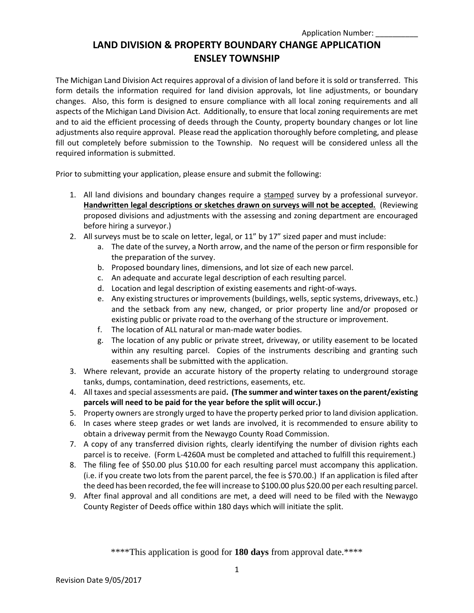The Michigan Land Division Act requires approval of a division of land before it is sold or transferred. This form details the information required for land division approvals, lot line adjustments, or boundary changes. Also, this form is designed to ensure compliance with all local zoning requirements and all aspects of the Michigan Land Division Act. Additionally, to ensure that local zoning requirements are met and to aid the efficient processing of deeds through the County, property boundary changes or lot line adjustments also require approval. Please read the application thoroughly before completing, and please fill out completely before submission to the Township. No request will be considered unless all the required information is submitted.

Prior to submitting your application, please ensure and submit the following:

- 1. All land divisions and boundary changes require a stamped survey by a professional surveyor. **Handwritten legal descriptions or sketches drawn on surveys will not be accepted.** (Reviewing proposed divisions and adjustments with the assessing and zoning department are encouraged before hiring a surveyor.)
- 2. All surveys must be to scale on letter, legal, or 11" by 17" sized paper and must include:
	- a. The date of the survey, a North arrow, and the name of the person or firm responsible for the preparation of the survey.
	- b. Proposed boundary lines, dimensions, and lot size of each new parcel.
	- c. An adequate and accurate legal description of each resulting parcel.
	- d. Location and legal description of existing easements and right-of-ways.
	- e. Any existing structures or improvements (buildings, wells, septic systems, driveways, etc.) and the setback from any new, changed, or prior property line and/or proposed or existing public or private road to the overhang of the structure or improvement.
	- f. The location of ALL natural or man-made water bodies.
	- g. The location of any public or private street, driveway, or utility easement to be located within any resulting parcel. Copies of the instruments describing and granting such easements shall be submitted with the application.
- 3. Where relevant, provide an accurate history of the property relating to underground storage tanks, dumps, contamination, deed restrictions, easements, etc.
- 4. All taxes and special assessments are paid**. (The summer and winter taxes on the parent/existing parcels will need to be paid for the year before the split will occur.)**
- 5. Property owners are strongly urged to have the property perked prior to land division application.
- 6. In cases where steep grades or wet lands are involved, it is recommended to ensure ability to obtain a driveway permit from the Newaygo County Road Commission.
- 7. A copy of any transferred division rights, clearly identifying the number of division rights each parcel is to receive. (Form L-4260A must be completed and attached to fulfill this requirement.)
- 8. The filing fee of \$50.00 plus \$10.00 for each resulting parcel must accompany this application. (i.e. if you create two lots from the parent parcel, the fee is \$70.00.) If an application is filed after the deed has been recorded, the fee will increase to \$100.00 plus \$20.00 per each resulting parcel.
- 9. After final approval and all conditions are met, a deed will need to be filed with the Newaygo County Register of Deeds office within 180 days which will initiate the split.

\*\*\*\*This application is good for **180 days** from approval date.\*\*\*\*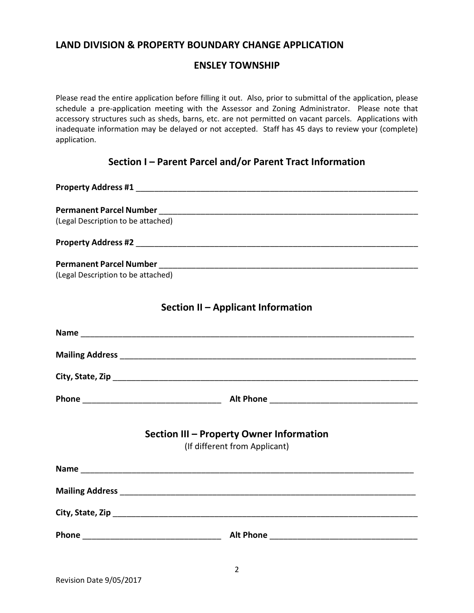#### **LAND DIVISION & PROPERTY BOUNDARY CHANGE APPLICATION**

#### **ENSLEY TOWNSHIP**

Please read the entire application before filling it out. Also, prior to submittal of the application, please schedule a pre-application meeting with the Assessor and Zoning Administrator. Please note that accessory structures such as sheds, barns, etc. are not permitted on vacant parcels. Applications with inadequate information may be delayed or not accepted. Staff has 45 days to review your (complete) application.

### **Section I – Parent Parcel and/or Parent Tract Information**

**Property Address #1 Department of the set of the set of the set of the set of the set of the set of the set of the set of the set of the set of the set of the set of the set of the set of the set of the set of the set o Permanent Parcel Number** \_\_\_\_\_\_\_\_\_\_\_\_\_\_\_\_\_\_\_\_\_\_\_\_\_\_\_\_\_\_\_\_\_\_\_\_\_\_\_\_\_\_\_\_\_\_\_\_\_\_\_\_\_\_\_\_ (Legal Description to be attached) **Property Address #2** \_\_\_\_\_\_\_\_\_\_\_\_\_\_\_\_\_\_\_\_\_\_\_\_\_\_\_\_\_\_\_\_\_\_\_\_\_\_\_\_\_\_\_\_\_\_\_\_\_\_\_\_\_\_\_\_\_\_\_\_\_ **Permanent Parcel Number Letter and Security Permanent Parcel Number** (Legal Description to be attached) **Section II – Applicant Information Name** \_\_\_\_\_\_\_\_\_\_\_\_\_\_\_\_\_\_\_\_\_\_\_\_\_\_\_\_\_\_\_\_\_\_\_\_\_\_\_\_\_\_\_\_\_\_\_\_\_\_\_\_\_\_\_\_\_\_\_\_\_\_\_\_\_\_\_\_\_\_\_\_ **Mailing Address** \_\_\_\_\_\_\_\_\_\_\_\_\_\_\_\_\_\_\_\_\_\_\_\_\_\_\_\_\_\_\_\_\_\_\_\_\_\_\_\_\_\_\_\_\_\_\_\_\_\_\_\_\_\_\_\_\_\_\_\_\_\_\_\_ **City, State, Zip** \_\_\_\_\_\_\_\_\_\_\_\_\_\_\_\_\_\_\_\_\_\_\_\_\_\_\_\_\_\_\_\_\_\_\_\_\_\_\_\_\_\_\_\_\_\_\_\_\_\_\_\_\_\_\_\_\_\_\_\_\_\_\_\_\_\_ **Phone** \_\_\_\_\_\_\_\_\_\_\_\_\_\_\_\_\_\_\_\_\_\_\_\_\_\_\_\_\_\_ **Alt Phone** \_\_\_\_\_\_\_\_\_\_\_\_\_\_\_\_\_\_\_\_\_\_\_\_\_\_\_\_\_\_\_\_ **Section III – Property Owner Information** (If different from Applicant) **Name** \_\_\_\_\_\_\_\_\_\_\_\_\_\_\_\_\_\_\_\_\_\_\_\_\_\_\_\_\_\_\_\_\_\_\_\_\_\_\_\_\_\_\_\_\_\_\_\_\_\_\_\_\_\_\_\_\_\_\_\_\_\_\_\_\_\_\_\_\_\_\_\_ **Mailing Address**  $\blacksquare$ **City, State, Zip** \_\_\_\_\_\_\_\_\_\_\_\_\_\_\_\_\_\_\_\_\_\_\_\_\_\_\_\_\_\_\_\_\_\_\_\_\_\_\_\_\_\_\_\_\_\_\_\_\_\_\_\_\_\_\_\_\_\_\_\_\_\_\_\_\_\_ **Phone** \_\_\_\_\_\_\_\_\_\_\_\_\_\_\_\_\_\_\_\_\_\_\_\_\_\_\_\_\_\_ **Alt Phone** \_\_\_\_\_\_\_\_\_\_\_\_\_\_\_\_\_\_\_\_\_\_\_\_\_\_\_\_\_\_\_\_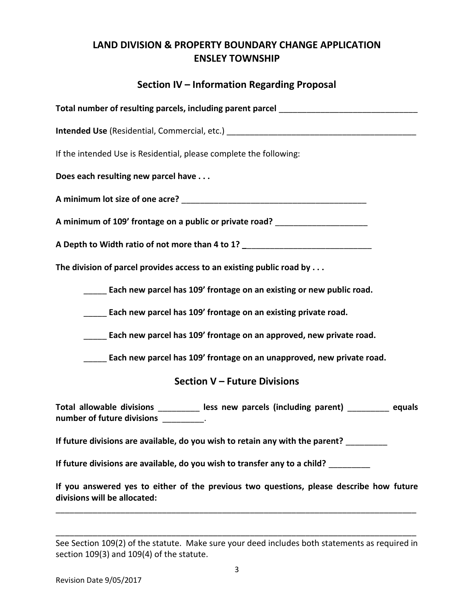# **Section IV – Information Regarding Proposal**

| Total number of resulting parcels, including parent parcel _____________________                                                  |
|-----------------------------------------------------------------------------------------------------------------------------------|
| Intended Use (Residential, Commercial, etc.) ___________________________________                                                  |
| If the intended Use is Residential, please complete the following:                                                                |
| Does each resulting new parcel have                                                                                               |
|                                                                                                                                   |
| A minimum of 109' frontage on a public or private road? ________________________                                                  |
| A Depth to Width ratio of not more than 4 to 1? ________________________________                                                  |
| The division of parcel provides access to an existing public road by . $\ldots$                                                   |
| Each new parcel has 109' frontage on an existing or new public road.                                                              |
| Each new parcel has 109' frontage on an existing private road.                                                                    |
| Each new parcel has 109' frontage on an approved, new private road.                                                               |
| Each new parcel has 109' frontage on an unapproved, new private road.                                                             |
| <b>Section V - Future Divisions</b>                                                                                               |
| Total allowable divisions _________ less new parcels (including parent) ________ equals<br>number of future divisions __________. |
| If future divisions are available, do you wish to retain any with the parent?                                                     |
| If future divisions are available, do you wish to transfer any to a child?                                                        |
| If you answered yes to either of the previous two questions, please describe how future                                           |

See Section 109(2) of the statute. Make sure your deed includes both statements as required in section 109(3) and 109(4) of the statute.

\_\_\_\_\_\_\_\_\_\_\_\_\_\_\_\_\_\_\_\_\_\_\_\_\_\_\_\_\_\_\_\_\_\_\_\_\_\_\_\_\_\_\_\_\_\_\_\_\_\_\_\_\_\_\_\_\_\_\_\_\_\_\_\_\_\_\_\_\_\_\_\_\_\_\_\_\_\_

\_\_\_\_\_\_\_\_\_\_\_\_\_\_\_\_\_\_\_\_\_\_\_\_\_\_\_\_\_\_\_\_\_\_\_\_\_\_\_\_\_\_\_\_\_\_\_\_\_\_\_\_\_\_\_\_\_\_\_\_\_\_\_\_\_\_\_\_\_\_\_\_\_\_\_\_\_\_

**divisions will be allocated:**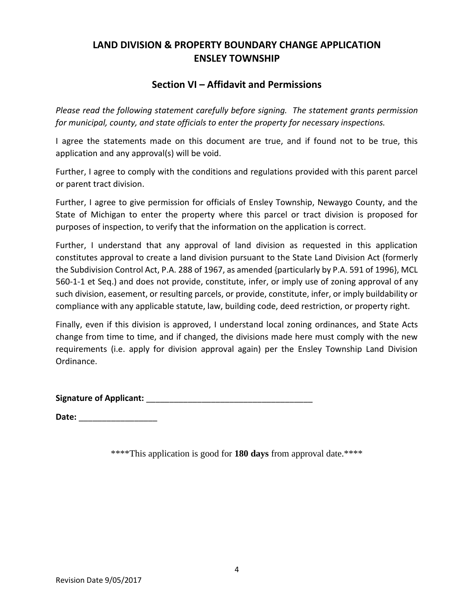### **Section VI – Affidavit and Permissions**

*Please read the following statement carefully before signing. The statement grants permission for municipal, county, and state officials to enter the property for necessary inspections.*

I agree the statements made on this document are true, and if found not to be true, this application and any approval(s) will be void.

Further, I agree to comply with the conditions and regulations provided with this parent parcel or parent tract division.

Further, I agree to give permission for officials of Ensley Township, Newaygo County, and the State of Michigan to enter the property where this parcel or tract division is proposed for purposes of inspection, to verify that the information on the application is correct.

Further, I understand that any approval of land division as requested in this application constitutes approval to create a land division pursuant to the State Land Division Act (formerly the Subdivision Control Act, P.A. 288 of 1967, as amended {particularly by P.A. 591 of 1996}, MCL 560-1-1 et Seq.) and does not provide, constitute, infer, or imply use of zoning approval of any such division, easement, or resulting parcels, or provide, constitute, infer, or imply buildability or compliance with any applicable statute, law, building code, deed restriction, or property right.

Finally, even if this division is approved, I understand local zoning ordinances, and State Acts change from time to time, and if changed, the divisions made here must comply with the new requirements (i.e. apply for division approval again) per the Ensley Township Land Division Ordinance.

**Signature of Applicant:** \_\_\_\_\_\_\_\_\_\_\_\_\_\_\_\_\_\_\_\_\_\_\_\_\_\_\_\_\_\_\_\_\_\_\_\_

**Date:** \_\_\_\_\_\_\_\_\_\_\_\_\_\_\_\_\_

\*\*\*\*This application is good for **180 days** from approval date.\*\*\*\*